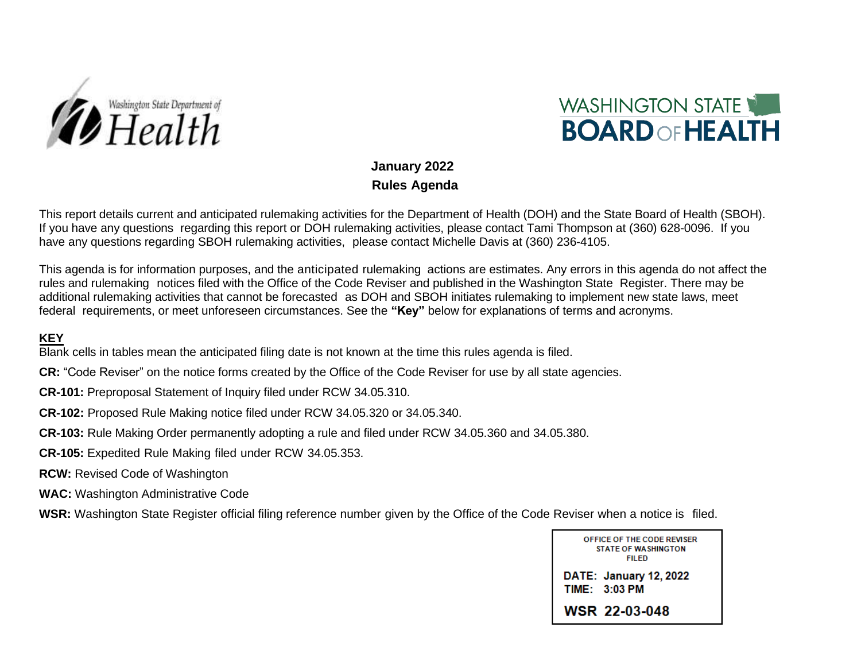



#### **January 2022 Rules Agenda**

This report details current and anticipated rulemaking activities for the Department of Health (DOH) and the State Board of Health (SBOH). If you have any questions regarding this report or DOH rulemaking activities, please contact Tami Thompson at (360) 628-0096. If you have any questions regarding SBOH rulemaking activities, please contact Michelle Davis at (360) 236-4105.

This agenda is for information purposes, and the anticipated rulemaking actions are estimates. Any errors in this agenda do not affect the rules and rulemaking notices filed with the Office of the Code Reviser and published in the Washington State Register. There may be additional rulemaking activities that cannot be forecasted as DOH and SBOH initiates rulemaking to implement new state laws, meet federal requirements, or meet unforeseen circumstances. See the **"Key"** below for explanations of terms and acronyms.

#### **KEY**

Blank cells in tables mean the anticipated filing date is not known at the time this rules agenda is filed.

- **CR:** "Code Reviser" on the notice forms created by the Office of the Code Reviser for use by all state agencies.
- **CR-101:** Preproposal Statement of Inquiry filed under RCW 34.05.310.
- **CR-102:** Proposed Rule Making notice filed under RCW 34.05.320 or 34.05.340.
- **CR-103:** Rule Making Order permanently adopting a rule and filed under RCW 34.05.360 and 34.05.380.
- **CR-105:** Expedited Rule Making filed under RCW 34.05.353.
- **RCW:** Revised Code of Washington
- **WAC:** Washington Administrative Code

**WSR:** Washington State Register official filing reference number given by the Office of the Code Reviser when a notice is filed.

| OFFICE OF THE CODE REVISER<br><b>STATE OF WASHINGTON</b><br>FII FD |
|--------------------------------------------------------------------|
| <b>DATE: January 12, 2022</b><br>TIME: 3:03 PM                     |
| WSR 22-03-048                                                      |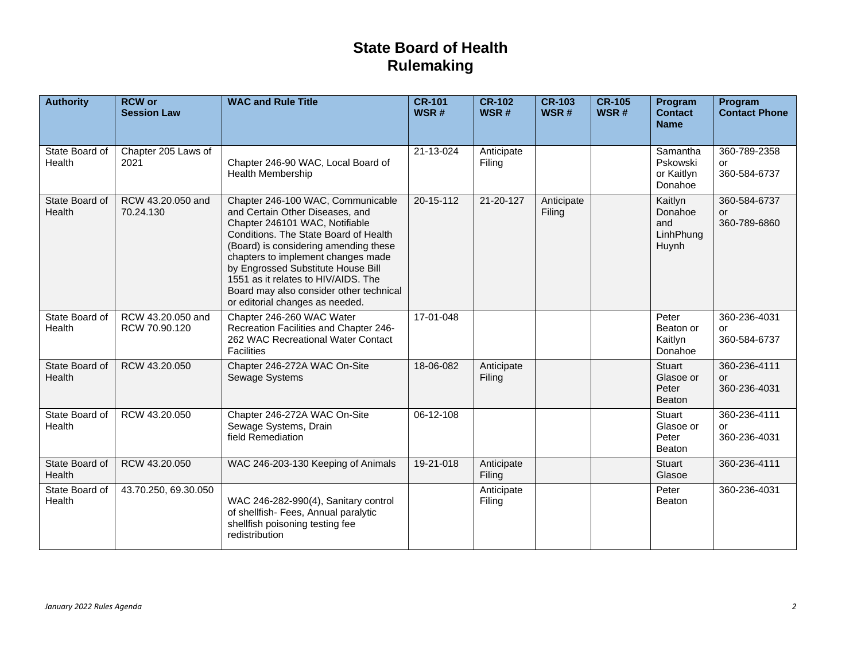# **State Board of Health Rulemaking**

| <b>Authority</b>         | <b>RCW</b> or<br><b>Session Law</b> | <b>WAC and Rule Title</b>                                                                                                                                                                                                                                                                                                                                                                 | <b>CR-101</b><br>WSR# | <b>CR-102</b><br>WSR# | <b>CR-103</b><br>WSR# | <b>CR-105</b><br>WSR# | Program<br><b>Contact</b><br><b>Name</b>        | Program<br><b>Contact Phone</b>    |
|--------------------------|-------------------------------------|-------------------------------------------------------------------------------------------------------------------------------------------------------------------------------------------------------------------------------------------------------------------------------------------------------------------------------------------------------------------------------------------|-----------------------|-----------------------|-----------------------|-----------------------|-------------------------------------------------|------------------------------------|
| State Board of<br>Health | Chapter 205 Laws of<br>2021         | Chapter 246-90 WAC, Local Board of<br><b>Health Membership</b>                                                                                                                                                                                                                                                                                                                            | 21-13-024             | Anticipate<br>Filing  |                       |                       | Samantha<br>Pskowski<br>or Kaitlyn<br>Donahoe   | 360-789-2358<br>or<br>360-584-6737 |
| State Board of<br>Health | RCW 43.20.050 and<br>70.24.130      | Chapter 246-100 WAC, Communicable<br>and Certain Other Diseases, and<br>Chapter 246101 WAC, Notifiable<br>Conditions. The State Board of Health<br>(Board) is considering amending these<br>chapters to implement changes made<br>by Engrossed Substitute House Bill<br>1551 as it relates to HIV/AIDS. The<br>Board may also consider other technical<br>or editorial changes as needed. | $20 - 15 - 112$       | 21-20-127             | Anticipate<br>Filing  |                       | Kaitlyn<br>Donahoe<br>and<br>LinhPhung<br>Huynh | 360-584-6737<br>or<br>360-789-6860 |
| State Board of<br>Health | RCW 43.20.050 and<br>RCW 70.90.120  | Chapter 246-260 WAC Water<br>Recreation Facilities and Chapter 246-<br>262 WAC Recreational Water Contact<br><b>Facilities</b>                                                                                                                                                                                                                                                            | 17-01-048             |                       |                       |                       | Peter<br>Beaton or<br>Kaitlyn<br>Donahoe        | 360-236-4031<br>or<br>360-584-6737 |
| State Board of<br>Health | RCW 43.20.050                       | Chapter 246-272A WAC On-Site<br>Sewage Systems                                                                                                                                                                                                                                                                                                                                            | 18-06-082             | Anticipate<br>Filing  |                       |                       | Stuart<br>Glasoe or<br>Peter<br>Beaton          | 360-236-4111<br>or<br>360-236-4031 |
| State Board of<br>Health | RCW 43.20.050                       | Chapter 246-272A WAC On-Site<br>Sewage Systems, Drain<br>field Remediation                                                                                                                                                                                                                                                                                                                | 06-12-108             |                       |                       |                       | Stuart<br>Glasoe or<br>Peter<br>Beaton          | 360-236-4111<br>or<br>360-236-4031 |
| State Board of<br>Health | RCW 43.20.050                       | WAC 246-203-130 Keeping of Animals                                                                                                                                                                                                                                                                                                                                                        | 19-21-018             | Anticipate<br>Filing  |                       |                       | Stuart<br>Glasoe                                | 360-236-4111                       |
| State Board of<br>Health | 43.70.250, 69.30.050                | WAC 246-282-990(4), Sanitary control<br>of shellfish- Fees, Annual paralytic<br>shellfish poisoning testing fee<br>redistribution                                                                                                                                                                                                                                                         |                       | Anticipate<br>Filing  |                       |                       | Peter<br>Beaton                                 | 360-236-4031                       |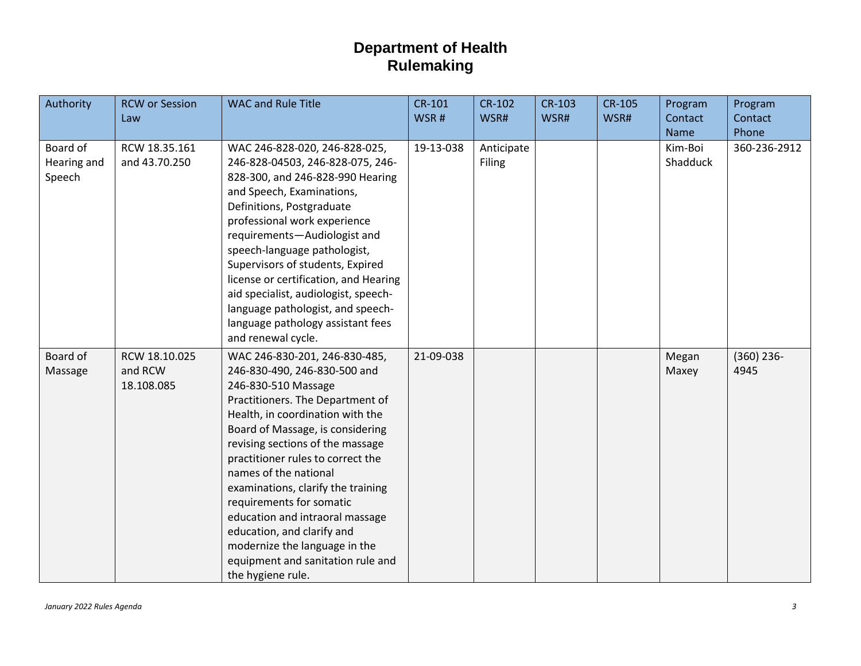| Authority                         | <b>RCW or Session</b><br>Law           | <b>WAC and Rule Title</b>                                                                                                                                                                                                                                                                                                                                                                                                                                                                                                        | CR-101<br>WSR# | <b>CR-102</b><br>WSR# | <b>CR-103</b><br>WSR# | <b>CR-105</b><br>WSR# | Program<br>Contact  | Program<br>Contact   |
|-----------------------------------|----------------------------------------|----------------------------------------------------------------------------------------------------------------------------------------------------------------------------------------------------------------------------------------------------------------------------------------------------------------------------------------------------------------------------------------------------------------------------------------------------------------------------------------------------------------------------------|----------------|-----------------------|-----------------------|-----------------------|---------------------|----------------------|
|                                   |                                        |                                                                                                                                                                                                                                                                                                                                                                                                                                                                                                                                  |                |                       |                       |                       | Name                | Phone                |
| Board of<br>Hearing and<br>Speech | RCW 18.35.161<br>and 43.70.250         | WAC 246-828-020, 246-828-025,<br>246-828-04503, 246-828-075, 246-<br>828-300, and 246-828-990 Hearing<br>and Speech, Examinations,<br>Definitions, Postgraduate<br>professional work experience<br>requirements-Audiologist and<br>speech-language pathologist,<br>Supervisors of students, Expired<br>license or certification, and Hearing<br>aid specialist, audiologist, speech-<br>language pathologist, and speech-<br>language pathology assistant fees<br>and renewal cycle.                                             | 19-13-038      | Anticipate<br>Filing  |                       |                       | Kim-Boi<br>Shadduck | 360-236-2912         |
| Board of<br>Massage               | RCW 18.10.025<br>and RCW<br>18.108.085 | WAC 246-830-201, 246-830-485,<br>246-830-490, 246-830-500 and<br>246-830-510 Massage<br>Practitioners. The Department of<br>Health, in coordination with the<br>Board of Massage, is considering<br>revising sections of the massage<br>practitioner rules to correct the<br>names of the national<br>examinations, clarify the training<br>requirements for somatic<br>education and intraoral massage<br>education, and clarify and<br>modernize the language in the<br>equipment and sanitation rule and<br>the hygiene rule. | 21-09-038      |                       |                       |                       | Megan<br>Maxey      | $(360)$ 236-<br>4945 |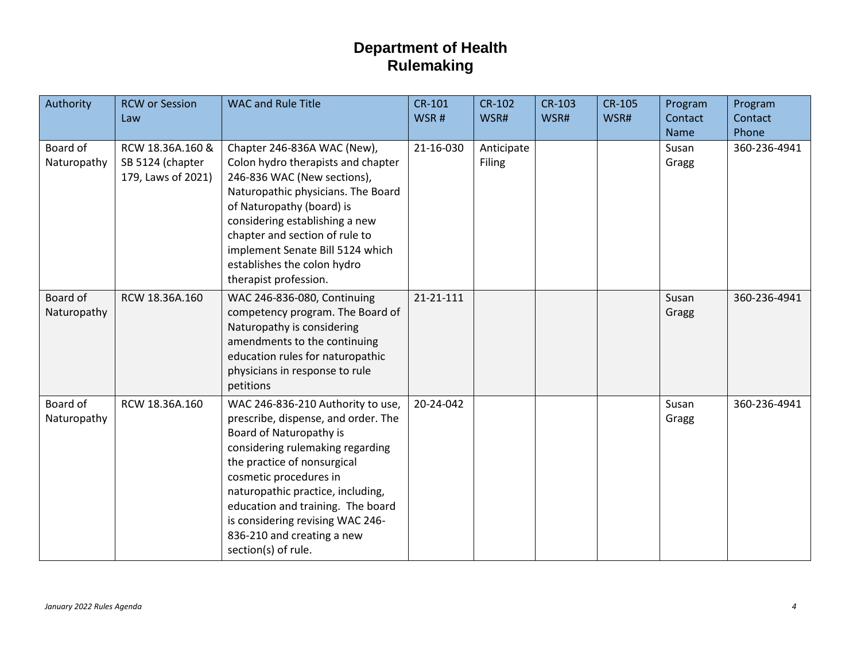| Authority               | <b>RCW or Session</b><br>Law                               | <b>WAC and Rule Title</b>                                                                                                                                                                                                                                                                                                                                           | <b>CR-101</b><br>WSR# | <b>CR-102</b><br>WSR#       | <b>CR-103</b><br>WSR# | <b>CR-105</b><br>WSR# | Program<br>Contact<br>Name | Program<br>Contact<br>Phone |
|-------------------------|------------------------------------------------------------|---------------------------------------------------------------------------------------------------------------------------------------------------------------------------------------------------------------------------------------------------------------------------------------------------------------------------------------------------------------------|-----------------------|-----------------------------|-----------------------|-----------------------|----------------------------|-----------------------------|
| Board of<br>Naturopathy | RCW 18.36A.160 &<br>SB 5124 (chapter<br>179, Laws of 2021) | Chapter 246-836A WAC (New),<br>Colon hydro therapists and chapter<br>246-836 WAC (New sections),<br>Naturopathic physicians. The Board<br>of Naturopathy (board) is<br>considering establishing a new<br>chapter and section of rule to<br>implement Senate Bill 5124 which<br>establishes the colon hydro<br>therapist profession.                                 | 21-16-030             | Anticipate<br><b>Filing</b> |                       |                       | Susan<br>Gragg             | 360-236-4941                |
| Board of<br>Naturopathy | RCW 18.36A.160                                             | WAC 246-836-080, Continuing<br>competency program. The Board of<br>Naturopathy is considering<br>amendments to the continuing<br>education rules for naturopathic<br>physicians in response to rule<br>petitions                                                                                                                                                    | 21-21-111             |                             |                       |                       | Susan<br>Gragg             | 360-236-4941                |
| Board of<br>Naturopathy | RCW 18.36A.160                                             | WAC 246-836-210 Authority to use,<br>prescribe, dispense, and order. The<br>Board of Naturopathy is<br>considering rulemaking regarding<br>the practice of nonsurgical<br>cosmetic procedures in<br>naturopathic practice, including,<br>education and training. The board<br>is considering revising WAC 246-<br>836-210 and creating a new<br>section(s) of rule. | 20-24-042             |                             |                       |                       | Susan<br>Gragg             | 360-236-4941                |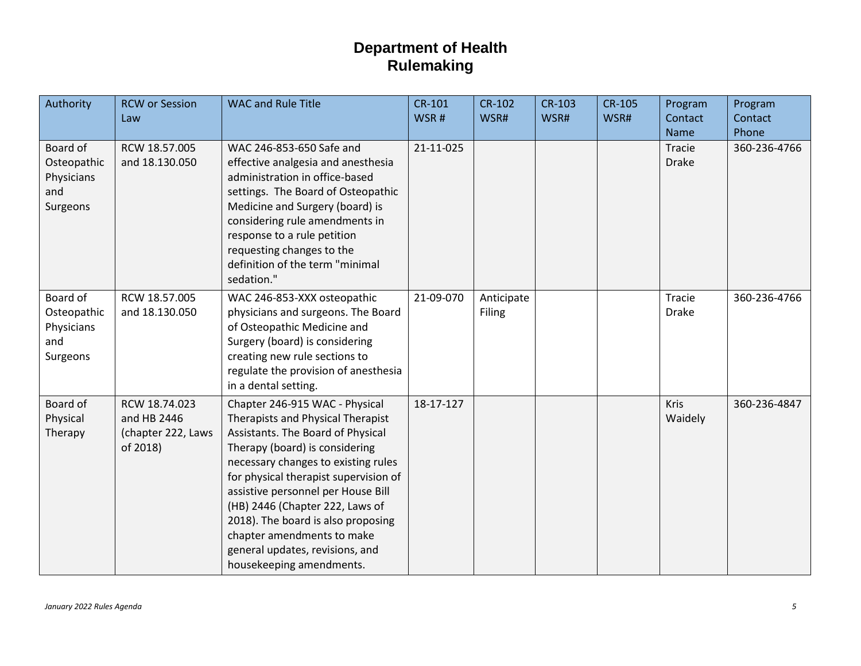| Authority                                                | <b>RCW or Session</b><br>Law                                   | <b>WAC and Rule Title</b>                                                                                                                                                                                                                                                                                                                                                                                                              | <b>CR-101</b><br>WSR# | <b>CR-102</b><br>WSR# | <b>CR-103</b><br>WSR# | <b>CR-105</b><br>WSR# | Program<br>Contact<br>Name | Program<br>Contact<br>Phone |
|----------------------------------------------------------|----------------------------------------------------------------|----------------------------------------------------------------------------------------------------------------------------------------------------------------------------------------------------------------------------------------------------------------------------------------------------------------------------------------------------------------------------------------------------------------------------------------|-----------------------|-----------------------|-----------------------|-----------------------|----------------------------|-----------------------------|
| Board of<br>Osteopathic<br>Physicians<br>and<br>Surgeons | RCW 18.57.005<br>and 18.130.050                                | WAC 246-853-650 Safe and<br>effective analgesia and anesthesia<br>administration in office-based<br>settings. The Board of Osteopathic<br>Medicine and Surgery (board) is<br>considering rule amendments in<br>response to a rule petition<br>requesting changes to the<br>definition of the term "minimal<br>sedation."                                                                                                               | 21-11-025             |                       |                       |                       | Tracie<br><b>Drake</b>     | 360-236-4766                |
| Board of<br>Osteopathic<br>Physicians<br>and<br>Surgeons | RCW 18.57.005<br>and 18.130.050                                | WAC 246-853-XXX osteopathic<br>physicians and surgeons. The Board<br>of Osteopathic Medicine and<br>Surgery (board) is considering<br>creating new rule sections to<br>regulate the provision of anesthesia<br>in a dental setting.                                                                                                                                                                                                    | 21-09-070             | Anticipate<br>Filing  |                       |                       | Tracie<br><b>Drake</b>     | 360-236-4766                |
| Board of<br>Physical<br>Therapy                          | RCW 18.74.023<br>and HB 2446<br>(chapter 222, Laws<br>of 2018) | Chapter 246-915 WAC - Physical<br>Therapists and Physical Therapist<br>Assistants. The Board of Physical<br>Therapy (board) is considering<br>necessary changes to existing rules<br>for physical therapist supervision of<br>assistive personnel per House Bill<br>(HB) 2446 (Chapter 222, Laws of<br>2018). The board is also proposing<br>chapter amendments to make<br>general updates, revisions, and<br>housekeeping amendments. | 18-17-127             |                       |                       |                       | <b>Kris</b><br>Waidely     | 360-236-4847                |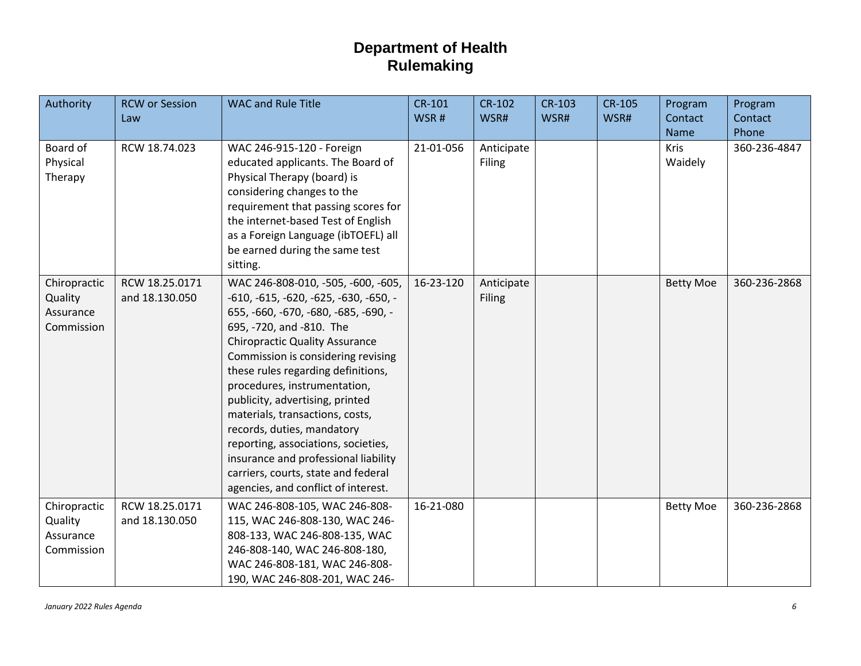| Authority                                          | <b>RCW or Session</b><br>Law     | <b>WAC and Rule Title</b>                                                                                                                                                                                                                                                                                                                                                                                                                                                                                                                                             | CR-101<br>WSR# | CR-102<br>WSR#              | <b>CR-103</b><br>WSR# | <b>CR-105</b><br>WSR# | Program<br>Contact<br>Name | Program<br>Contact<br>Phone |
|----------------------------------------------------|----------------------------------|-----------------------------------------------------------------------------------------------------------------------------------------------------------------------------------------------------------------------------------------------------------------------------------------------------------------------------------------------------------------------------------------------------------------------------------------------------------------------------------------------------------------------------------------------------------------------|----------------|-----------------------------|-----------------------|-----------------------|----------------------------|-----------------------------|
| Board of<br>Physical<br>Therapy                    | RCW 18.74.023                    | WAC 246-915-120 - Foreign<br>educated applicants. The Board of<br>Physical Therapy (board) is<br>considering changes to the<br>requirement that passing scores for<br>the internet-based Test of English<br>as a Foreign Language (ibTOEFL) all<br>be earned during the same test<br>sitting.                                                                                                                                                                                                                                                                         | 21-01-056      | Anticipate<br><b>Filing</b> |                       |                       | <b>Kris</b><br>Waidely     | 360-236-4847                |
| Chiropractic<br>Quality<br>Assurance<br>Commission | RCW 18.25.0171<br>and 18.130.050 | WAC 246-808-010, -505, -600, -605,<br>-610, -615, -620, -625, -630, -650, -<br>655, -660, -670, -680, -685, -690, -<br>695, -720, and -810. The<br><b>Chiropractic Quality Assurance</b><br>Commission is considering revising<br>these rules regarding definitions,<br>procedures, instrumentation,<br>publicity, advertising, printed<br>materials, transactions, costs,<br>records, duties, mandatory<br>reporting, associations, societies,<br>insurance and professional liability<br>carriers, courts, state and federal<br>agencies, and conflict of interest. | 16-23-120      | Anticipate<br><b>Filing</b> |                       |                       | <b>Betty Moe</b>           | 360-236-2868                |
| Chiropractic<br>Quality<br>Assurance<br>Commission | RCW 18.25.0171<br>and 18.130.050 | WAC 246-808-105, WAC 246-808-<br>115, WAC 246-808-130, WAC 246-<br>808-133, WAC 246-808-135, WAC<br>246-808-140, WAC 246-808-180,<br>WAC 246-808-181, WAC 246-808-<br>190, WAC 246-808-201, WAC 246-                                                                                                                                                                                                                                                                                                                                                                  | 16-21-080      |                             |                       |                       | <b>Betty Moe</b>           | 360-236-2868                |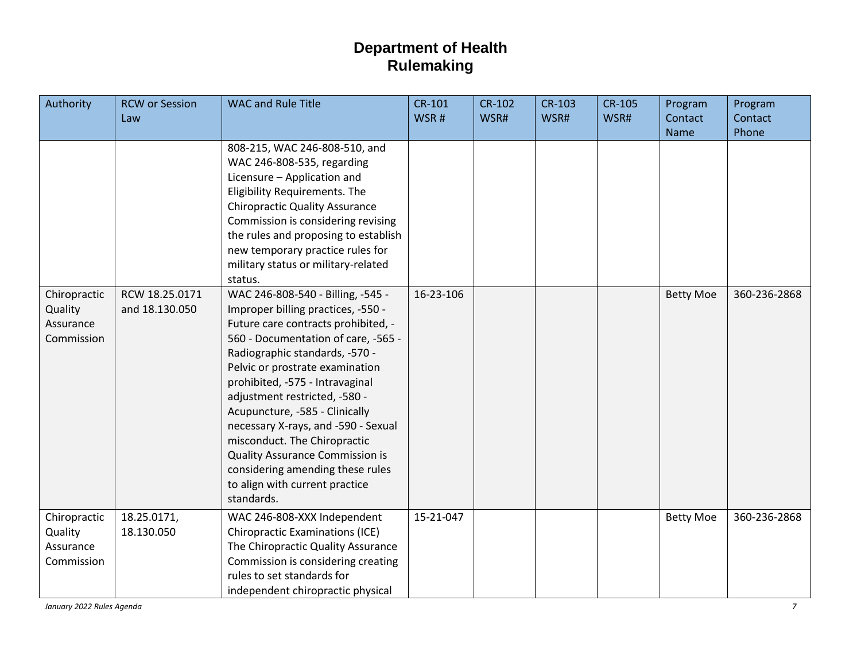| Authority                                          | <b>RCW or Session</b><br>Law     | <b>WAC and Rule Title</b>                                                                                                                                                                                                                                                                                                                                                                                                                                  | <b>CR-101</b><br>WSR# | <b>CR-102</b><br>WSR# | <b>CR-103</b><br>WSR# | <b>CR-105</b><br>WSR# | Program<br>Contact | Program<br>Contact |
|----------------------------------------------------|----------------------------------|------------------------------------------------------------------------------------------------------------------------------------------------------------------------------------------------------------------------------------------------------------------------------------------------------------------------------------------------------------------------------------------------------------------------------------------------------------|-----------------------|-----------------------|-----------------------|-----------------------|--------------------|--------------------|
|                                                    |                                  |                                                                                                                                                                                                                                                                                                                                                                                                                                                            |                       |                       |                       |                       | <b>Name</b>        | Phone              |
| Chiropractic<br>Quality<br>Assurance               | RCW 18.25.0171<br>and 18.130.050 | 808-215, WAC 246-808-510, and<br>WAC 246-808-535, regarding<br>Licensure - Application and<br>Eligibility Requirements. The<br><b>Chiropractic Quality Assurance</b><br>Commission is considering revising<br>the rules and proposing to establish<br>new temporary practice rules for<br>military status or military-related<br>status.<br>WAC 246-808-540 - Billing, -545 -<br>Improper billing practices, -550 -<br>Future care contracts prohibited, - | 16-23-106             |                       |                       |                       | <b>Betty Moe</b>   | 360-236-2868       |
| Commission                                         |                                  | 560 - Documentation of care, -565 -<br>Radiographic standards, -570 -<br>Pelvic or prostrate examination<br>prohibited, -575 - Intravaginal<br>adjustment restricted, -580 -<br>Acupuncture, -585 - Clinically<br>necessary X-rays, and -590 - Sexual<br>misconduct. The Chiropractic<br><b>Quality Assurance Commission is</b><br>considering amending these rules<br>to align with current practice<br>standards.                                        |                       |                       |                       |                       |                    |                    |
| Chiropractic<br>Quality<br>Assurance<br>Commission | 18.25.0171,<br>18.130.050        | WAC 246-808-XXX Independent<br><b>Chiropractic Examinations (ICE)</b><br>The Chiropractic Quality Assurance<br>Commission is considering creating<br>rules to set standards for<br>independent chiropractic physical                                                                                                                                                                                                                                       | 15-21-047             |                       |                       |                       | <b>Betty Moe</b>   | 360-236-2868       |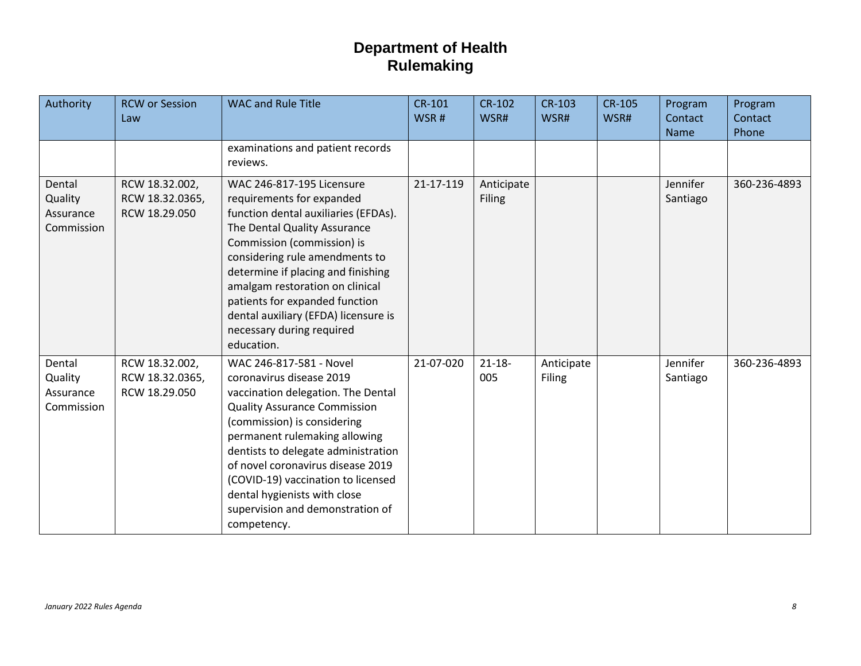| Authority                                    | <b>RCW or Session</b><br>Law                       | <b>WAC and Rule Title</b>                                                                                                                                                                                                                                                                                                                                                                             | <b>CR-101</b><br>WSR# | <b>CR-102</b><br>WSR#       | <b>CR-103</b><br>WSR#       | <b>CR-105</b><br>WSR# | Program<br>Contact<br>Name | Program<br>Contact<br>Phone |
|----------------------------------------------|----------------------------------------------------|-------------------------------------------------------------------------------------------------------------------------------------------------------------------------------------------------------------------------------------------------------------------------------------------------------------------------------------------------------------------------------------------------------|-----------------------|-----------------------------|-----------------------------|-----------------------|----------------------------|-----------------------------|
|                                              |                                                    | examinations and patient records<br>reviews.                                                                                                                                                                                                                                                                                                                                                          |                       |                             |                             |                       |                            |                             |
| Dental<br>Quality<br>Assurance<br>Commission | RCW 18.32.002,<br>RCW 18.32.0365,<br>RCW 18.29.050 | WAC 246-817-195 Licensure<br>requirements for expanded<br>function dental auxiliaries (EFDAs).<br>The Dental Quality Assurance<br>Commission (commission) is<br>considering rule amendments to<br>determine if placing and finishing<br>amalgam restoration on clinical<br>patients for expanded function<br>dental auxiliary (EFDA) licensure is<br>necessary during required<br>education.          | 21-17-119             | Anticipate<br><b>Filing</b> |                             |                       | Jennifer<br>Santiago       | 360-236-4893                |
| Dental<br>Quality<br>Assurance<br>Commission | RCW 18.32.002,<br>RCW 18.32.0365,<br>RCW 18.29.050 | WAC 246-817-581 - Novel<br>coronavirus disease 2019<br>vaccination delegation. The Dental<br><b>Quality Assurance Commission</b><br>(commission) is considering<br>permanent rulemaking allowing<br>dentists to delegate administration<br>of novel coronavirus disease 2019<br>(COVID-19) vaccination to licensed<br>dental hygienists with close<br>supervision and demonstration of<br>competency. | 21-07-020             | $21 - 18 -$<br>005          | Anticipate<br><b>Filing</b> |                       | Jennifer<br>Santiago       | 360-236-4893                |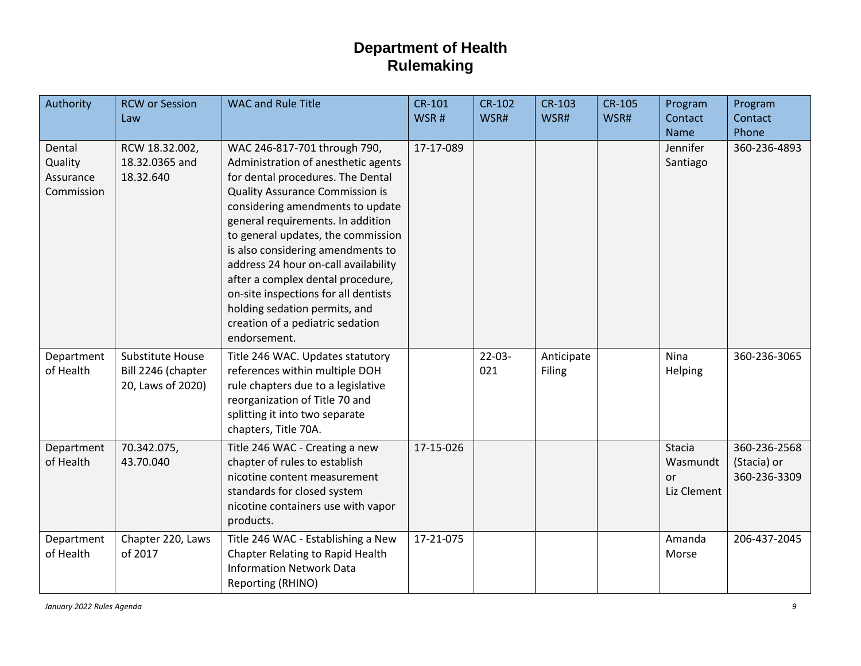| Authority                                    | <b>RCW or Session</b><br>Law                                | <b>WAC and Rule Title</b>                                                                                                                                                                                                                                                                                                                                                                                                                                                                                        | <b>CR-101</b><br>WSR# | <b>CR-102</b><br>WSR# | <b>CR-103</b><br>WSR# | <b>CR-105</b><br>WSR# | Program<br>Contact<br><b>Name</b>              | Program<br>Contact<br>Phone                 |
|----------------------------------------------|-------------------------------------------------------------|------------------------------------------------------------------------------------------------------------------------------------------------------------------------------------------------------------------------------------------------------------------------------------------------------------------------------------------------------------------------------------------------------------------------------------------------------------------------------------------------------------------|-----------------------|-----------------------|-----------------------|-----------------------|------------------------------------------------|---------------------------------------------|
| Dental<br>Quality<br>Assurance<br>Commission | RCW 18.32.002,<br>18.32.0365 and<br>18.32.640               | WAC 246-817-701 through 790,<br>Administration of anesthetic agents<br>for dental procedures. The Dental<br><b>Quality Assurance Commission is</b><br>considering amendments to update<br>general requirements. In addition<br>to general updates, the commission<br>is also considering amendments to<br>address 24 hour on-call availability<br>after a complex dental procedure,<br>on-site inspections for all dentists<br>holding sedation permits, and<br>creation of a pediatric sedation<br>endorsement. | 17-17-089             |                       |                       |                       | Jennifer<br>Santiago                           | 360-236-4893                                |
| Department<br>of Health                      | Substitute House<br>Bill 2246 (chapter<br>20, Laws of 2020) | Title 246 WAC. Updates statutory<br>references within multiple DOH<br>rule chapters due to a legislative<br>reorganization of Title 70 and<br>splitting it into two separate<br>chapters, Title 70A.                                                                                                                                                                                                                                                                                                             |                       | $22-03-$<br>021       | Anticipate<br>Filing  |                       | Nina<br>Helping                                | 360-236-3065                                |
| Department<br>of Health                      | 70.342.075,<br>43.70.040                                    | Title 246 WAC - Creating a new<br>chapter of rules to establish<br>nicotine content measurement<br>standards for closed system<br>nicotine containers use with vapor<br>products.                                                                                                                                                                                                                                                                                                                                | 17-15-026             |                       |                       |                       | <b>Stacia</b><br>Wasmundt<br>or<br>Liz Clement | 360-236-2568<br>(Stacia) or<br>360-236-3309 |
| Department<br>of Health                      | Chapter 220, Laws<br>of 2017                                | Title 246 WAC - Establishing a New<br>Chapter Relating to Rapid Health<br><b>Information Network Data</b><br>Reporting (RHINO)                                                                                                                                                                                                                                                                                                                                                                                   | 17-21-075             |                       |                       |                       | Amanda<br>Morse                                | 206-437-2045                                |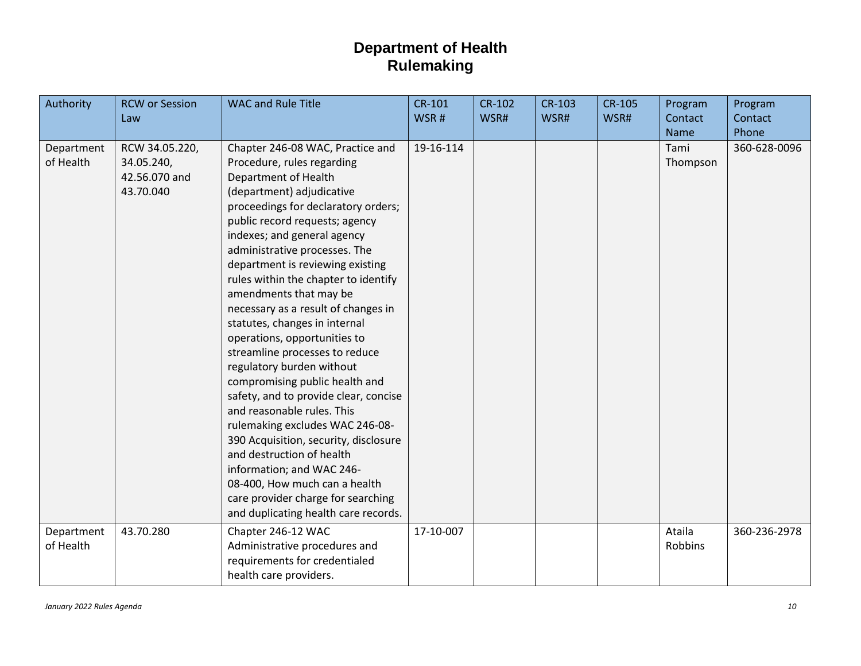| Authority               | <b>RCW or Session</b><br>Law                               | <b>WAC and Rule Title</b>                                                                                                                                                                                                                                                                                                                                                                                                                                                                                                                                                                                                                                                                                                                                                                                                                                                                               | CR-101<br>WSR# | CR-102<br>WSR# | <b>CR-103</b><br>WSR# | <b>CR-105</b><br>WSR# | Program<br>Contact       | Program<br>Contact    |
|-------------------------|------------------------------------------------------------|---------------------------------------------------------------------------------------------------------------------------------------------------------------------------------------------------------------------------------------------------------------------------------------------------------------------------------------------------------------------------------------------------------------------------------------------------------------------------------------------------------------------------------------------------------------------------------------------------------------------------------------------------------------------------------------------------------------------------------------------------------------------------------------------------------------------------------------------------------------------------------------------------------|----------------|----------------|-----------------------|-----------------------|--------------------------|-----------------------|
| Department<br>of Health | RCW 34.05.220,<br>34.05.240,<br>42.56.070 and<br>43.70.040 | Chapter 246-08 WAC, Practice and<br>Procedure, rules regarding<br>Department of Health<br>(department) adjudicative<br>proceedings for declaratory orders;<br>public record requests; agency<br>indexes; and general agency<br>administrative processes. The<br>department is reviewing existing<br>rules within the chapter to identify<br>amendments that may be<br>necessary as a result of changes in<br>statutes, changes in internal<br>operations, opportunities to<br>streamline processes to reduce<br>regulatory burden without<br>compromising public health and<br>safety, and to provide clear, concise<br>and reasonable rules. This<br>rulemaking excludes WAC 246-08-<br>390 Acquisition, security, disclosure<br>and destruction of health<br>information; and WAC 246-<br>08-400, How much can a health<br>care provider charge for searching<br>and duplicating health care records. | 19-16-114      |                |                       |                       | Name<br>Tami<br>Thompson | Phone<br>360-628-0096 |
| Department<br>of Health | 43.70.280                                                  | Chapter 246-12 WAC<br>Administrative procedures and<br>requirements for credentialed<br>health care providers.                                                                                                                                                                                                                                                                                                                                                                                                                                                                                                                                                                                                                                                                                                                                                                                          | 17-10-007      |                |                       |                       | Ataila<br>Robbins        | 360-236-2978          |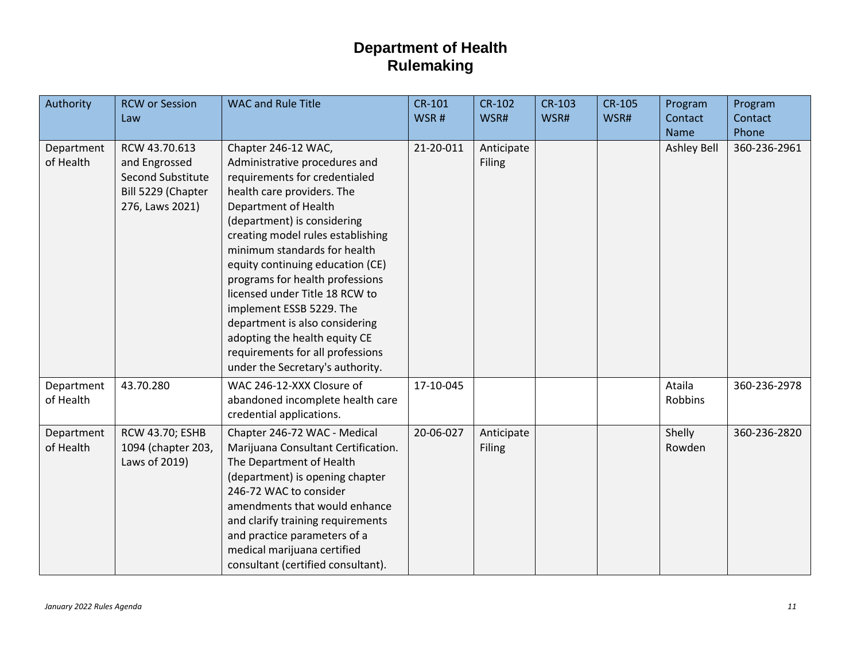| Authority               | <b>RCW or Session</b><br>Law                                                                 | <b>WAC and Rule Title</b>                                                                                                                                                                                                                                                                                                                                                                                                                                                                                                       | CR-101<br>WSR# | <b>CR-102</b><br>WSR# | <b>CR-103</b><br>WSR# | <b>CR-105</b><br>WSR# | Program<br>Contact<br><b>Name</b> | Program<br>Contact<br>Phone |
|-------------------------|----------------------------------------------------------------------------------------------|---------------------------------------------------------------------------------------------------------------------------------------------------------------------------------------------------------------------------------------------------------------------------------------------------------------------------------------------------------------------------------------------------------------------------------------------------------------------------------------------------------------------------------|----------------|-----------------------|-----------------------|-----------------------|-----------------------------------|-----------------------------|
| Department<br>of Health | RCW 43.70.613<br>and Engrossed<br>Second Substitute<br>Bill 5229 (Chapter<br>276, Laws 2021) | Chapter 246-12 WAC,<br>Administrative procedures and<br>requirements for credentialed<br>health care providers. The<br>Department of Health<br>(department) is considering<br>creating model rules establishing<br>minimum standards for health<br>equity continuing education (CE)<br>programs for health professions<br>licensed under Title 18 RCW to<br>implement ESSB 5229. The<br>department is also considering<br>adopting the health equity CE<br>requirements for all professions<br>under the Secretary's authority. | 21-20-011      | Anticipate<br>Filing  |                       |                       | <b>Ashley Bell</b>                | 360-236-2961                |
| Department<br>of Health | 43.70.280                                                                                    | WAC 246-12-XXX Closure of<br>abandoned incomplete health care<br>credential applications.                                                                                                                                                                                                                                                                                                                                                                                                                                       | 17-10-045      |                       |                       |                       | Ataila<br>Robbins                 | 360-236-2978                |
| Department<br>of Health | <b>RCW 43.70; ESHB</b><br>1094 (chapter 203,<br>Laws of 2019)                                | Chapter 246-72 WAC - Medical<br>Marijuana Consultant Certification.<br>The Department of Health<br>(department) is opening chapter<br>246-72 WAC to consider<br>amendments that would enhance<br>and clarify training requirements<br>and practice parameters of a<br>medical marijuana certified<br>consultant (certified consultant).                                                                                                                                                                                         | 20-06-027      | Anticipate<br>Filing  |                       |                       | Shelly<br>Rowden                  | 360-236-2820                |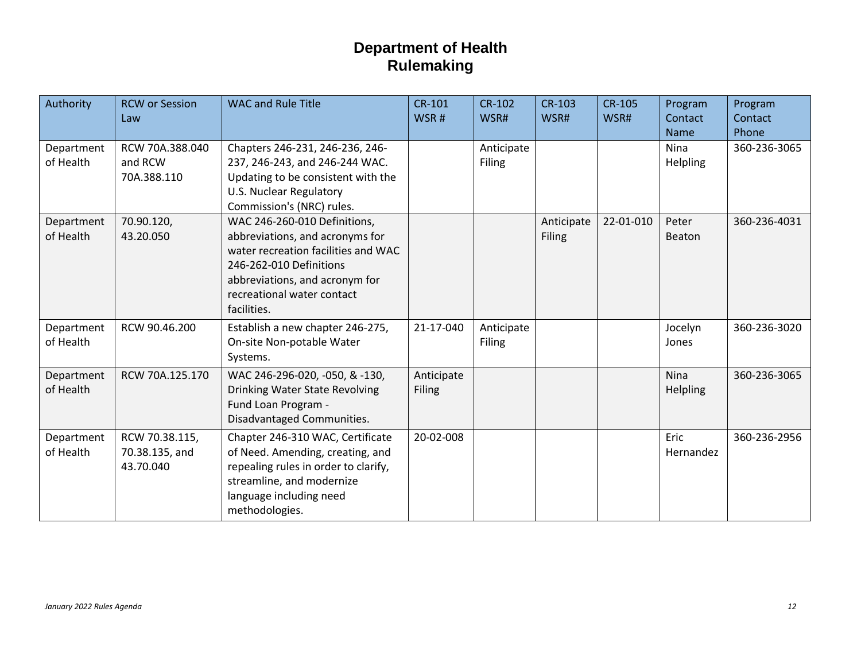| Authority               | <b>RCW or Session</b><br>Law                  | <b>WAC and Rule Title</b>                                                                                                                                                                                        | <b>CR-101</b><br>WSR#       | <b>CR-102</b><br>WSR#       | <b>CR-103</b><br>WSR#       | <b>CR-105</b><br>WSR# | Program<br>Contact<br><b>Name</b> | Program<br>Contact<br>Phone |
|-------------------------|-----------------------------------------------|------------------------------------------------------------------------------------------------------------------------------------------------------------------------------------------------------------------|-----------------------------|-----------------------------|-----------------------------|-----------------------|-----------------------------------|-----------------------------|
| Department<br>of Health | RCW 70A.388.040<br>and RCW<br>70A.388.110     | Chapters 246-231, 246-236, 246-<br>237, 246-243, and 246-244 WAC.<br>Updating to be consistent with the<br><b>U.S. Nuclear Regulatory</b><br>Commission's (NRC) rules.                                           |                             | Anticipate<br><b>Filing</b> |                             |                       | Nina<br>Helpling                  | 360-236-3065                |
| Department<br>of Health | 70.90.120,<br>43.20.050                       | WAC 246-260-010 Definitions,<br>abbreviations, and acronyms for<br>water recreation facilities and WAC<br>246-262-010 Definitions<br>abbreviations, and acronym for<br>recreational water contact<br>facilities. |                             |                             | Anticipate<br><b>Filing</b> | 22-01-010             | Peter<br>Beaton                   | 360-236-4031                |
| Department<br>of Health | RCW 90.46.200                                 | Establish a new chapter 246-275,<br>On-site Non-potable Water<br>Systems.                                                                                                                                        | 21-17-040                   | Anticipate<br><b>Filing</b> |                             |                       | Jocelyn<br>Jones                  | 360-236-3020                |
| Department<br>of Health | RCW 70A.125.170                               | WAC 246-296-020, -050, & -130,<br>Drinking Water State Revolving<br>Fund Loan Program -<br>Disadvantaged Communities.                                                                                            | Anticipate<br><b>Filing</b> |                             |                             |                       | <b>Nina</b><br>Helpling           | 360-236-3065                |
| Department<br>of Health | RCW 70.38.115,<br>70.38.135, and<br>43.70.040 | Chapter 246-310 WAC, Certificate<br>of Need. Amending, creating, and<br>repealing rules in order to clarify,<br>streamline, and modernize<br>language including need<br>methodologies.                           | 20-02-008                   |                             |                             |                       | Eric<br>Hernandez                 | 360-236-2956                |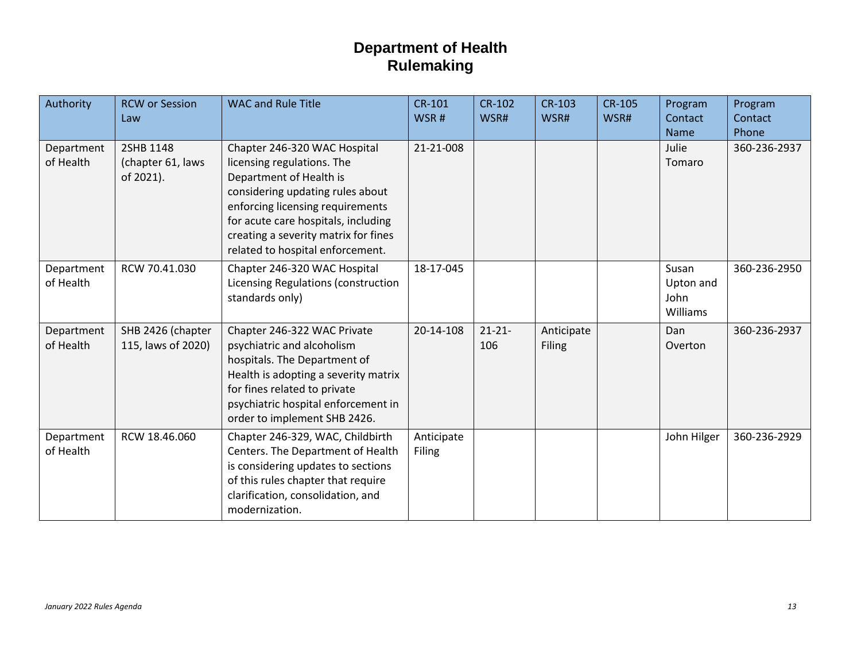| Authority               | <b>RCW or Session</b><br>Law                | <b>WAC and Rule Title</b>                                                                                                                                                                                                                                                        | <b>CR-101</b><br>WSR#       | <b>CR-102</b><br>WSR# | <b>CR-103</b><br>WSR#       | <b>CR-105</b><br>WSR# | Program<br>Contact<br><b>Name</b>             | Program<br>Contact<br>Phone |
|-------------------------|---------------------------------------------|----------------------------------------------------------------------------------------------------------------------------------------------------------------------------------------------------------------------------------------------------------------------------------|-----------------------------|-----------------------|-----------------------------|-----------------------|-----------------------------------------------|-----------------------------|
| Department<br>of Health | 2SHB 1148<br>(chapter 61, laws<br>of 2021). | Chapter 246-320 WAC Hospital<br>licensing regulations. The<br>Department of Health is<br>considering updating rules about<br>enforcing licensing requirements<br>for acute care hospitals, including<br>creating a severity matrix for fines<br>related to hospital enforcement. | 21-21-008                   |                       |                             |                       | Julie<br>Tomaro                               | 360-236-2937                |
| Department<br>of Health | RCW 70.41.030                               | Chapter 246-320 WAC Hospital<br>Licensing Regulations (construction<br>standards only)                                                                                                                                                                                           | 18-17-045                   |                       |                             |                       | Susan<br>Upton and<br>John<br><b>Williams</b> | 360-236-2950                |
| Department<br>of Health | SHB 2426 (chapter<br>115, laws of 2020)     | Chapter 246-322 WAC Private<br>psychiatric and alcoholism<br>hospitals. The Department of<br>Health is adopting a severity matrix<br>for fines related to private<br>psychiatric hospital enforcement in<br>order to implement SHB 2426.                                         | 20-14-108                   | $21 - 21 -$<br>106    | Anticipate<br><b>Filing</b> |                       | Dan<br>Overton                                | 360-236-2937                |
| Department<br>of Health | RCW 18.46.060                               | Chapter 246-329, WAC, Childbirth<br>Centers. The Department of Health<br>is considering updates to sections<br>of this rules chapter that require<br>clarification, consolidation, and<br>modernization.                                                                         | Anticipate<br><b>Filing</b> |                       |                             |                       | John Hilger                                   | 360-236-2929                |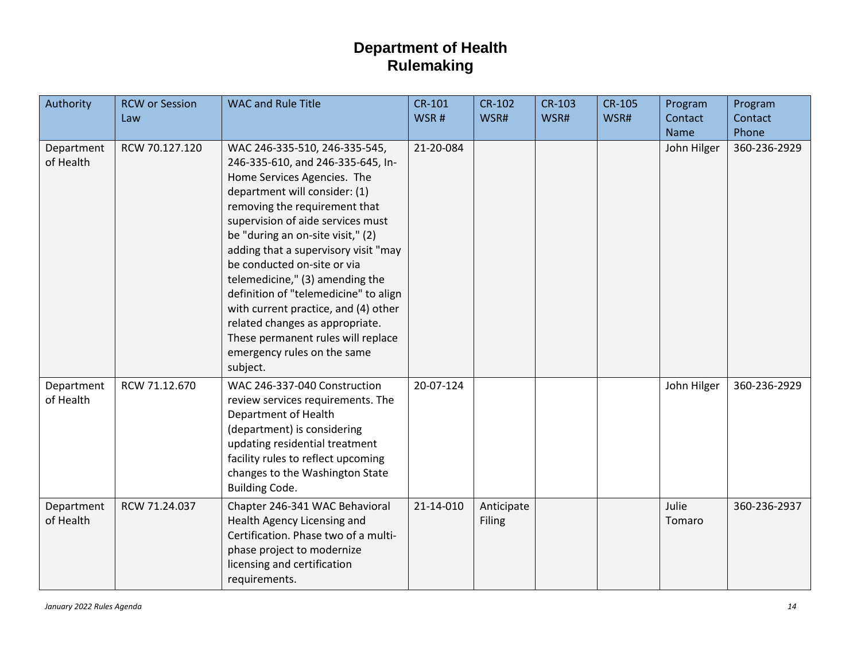| Authority               | <b>RCW or Session</b><br>Law | <b>WAC and Rule Title</b>                                                                                                                                                                                                                                                                                                                                                                                                                                                                                                                                    | $CR-101$<br>WSR# | <b>CR-102</b><br>WSR# | <b>CR-103</b><br>WSR# | <b>CR-105</b><br>WSR# | Program<br>Contact<br><b>Name</b> | Program<br>Contact<br>Phone |
|-------------------------|------------------------------|--------------------------------------------------------------------------------------------------------------------------------------------------------------------------------------------------------------------------------------------------------------------------------------------------------------------------------------------------------------------------------------------------------------------------------------------------------------------------------------------------------------------------------------------------------------|------------------|-----------------------|-----------------------|-----------------------|-----------------------------------|-----------------------------|
| Department<br>of Health | RCW 70.127.120               | WAC 246-335-510, 246-335-545,<br>246-335-610, and 246-335-645, In-<br>Home Services Agencies. The<br>department will consider: (1)<br>removing the requirement that<br>supervision of aide services must<br>be "during an on-site visit," (2)<br>adding that a supervisory visit "may<br>be conducted on-site or via<br>telemedicine," (3) amending the<br>definition of "telemedicine" to align<br>with current practice, and (4) other<br>related changes as appropriate.<br>These permanent rules will replace<br>emergency rules on the same<br>subject. | 21-20-084        |                       |                       |                       | John Hilger                       | 360-236-2929                |
| Department<br>of Health | RCW 71.12.670                | WAC 246-337-040 Construction<br>review services requirements. The<br>Department of Health<br>(department) is considering<br>updating residential treatment<br>facility rules to reflect upcoming<br>changes to the Washington State<br><b>Building Code.</b>                                                                                                                                                                                                                                                                                                 | 20-07-124        |                       |                       |                       | John Hilger                       | 360-236-2929                |
| Department<br>of Health | RCW 71.24.037                | Chapter 246-341 WAC Behavioral<br>Health Agency Licensing and<br>Certification. Phase two of a multi-<br>phase project to modernize<br>licensing and certification<br>requirements.                                                                                                                                                                                                                                                                                                                                                                          | 21-14-010        | Anticipate<br>Filing  |                       |                       | Julie<br>Tomaro                   | 360-236-2937                |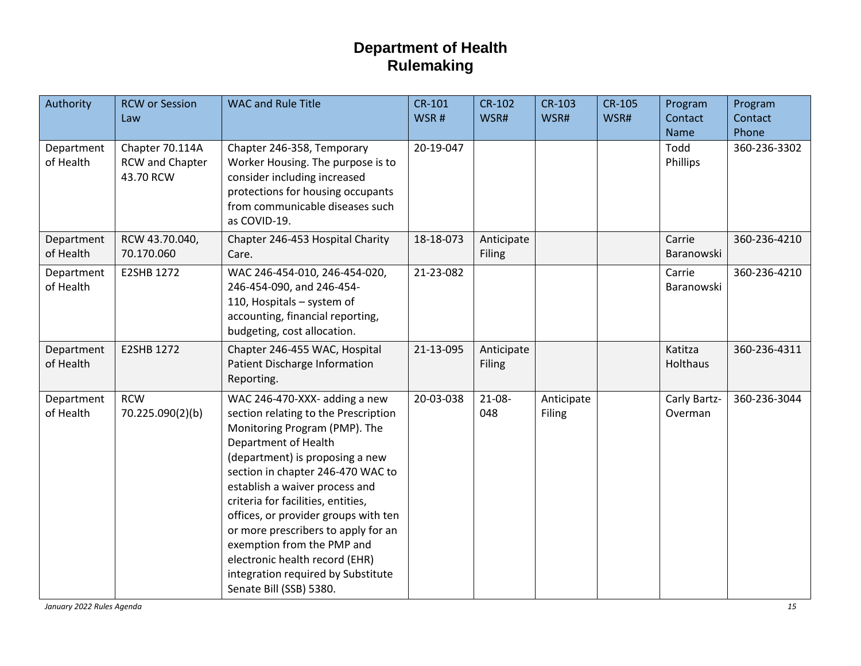| Authority               | <b>RCW or Session</b><br>Law                    | <b>WAC and Rule Title</b>                                                                                                                                                                                                                                                                                                                                                                                                                                                                      | CR-101<br>WSR# | <b>CR-102</b><br>WSR#       | <b>CR-103</b><br>WSR# | <b>CR-105</b><br>WSR# | Program<br>Contact<br><b>Name</b> | Program<br>Contact<br>Phone |
|-------------------------|-------------------------------------------------|------------------------------------------------------------------------------------------------------------------------------------------------------------------------------------------------------------------------------------------------------------------------------------------------------------------------------------------------------------------------------------------------------------------------------------------------------------------------------------------------|----------------|-----------------------------|-----------------------|-----------------------|-----------------------------------|-----------------------------|
| Department<br>of Health | Chapter 70.114A<br>RCW and Chapter<br>43.70 RCW | Chapter 246-358, Temporary<br>Worker Housing. The purpose is to<br>consider including increased<br>protections for housing occupants<br>from communicable diseases such<br>as COVID-19.                                                                                                                                                                                                                                                                                                        | 20-19-047      |                             |                       |                       | Todd<br>Phillips                  | 360-236-3302                |
| Department<br>of Health | RCW 43.70.040,<br>70.170.060                    | Chapter 246-453 Hospital Charity<br>Care.                                                                                                                                                                                                                                                                                                                                                                                                                                                      | 18-18-073      | Anticipate<br><b>Filing</b> |                       |                       | Carrie<br>Baranowski              | 360-236-4210                |
| Department<br>of Health | E2SHB 1272                                      | WAC 246-454-010, 246-454-020,<br>246-454-090, and 246-454-<br>110, Hospitals - system of<br>accounting, financial reporting,<br>budgeting, cost allocation.                                                                                                                                                                                                                                                                                                                                    | 21-23-082      |                             |                       |                       | Carrie<br>Baranowski              | 360-236-4210                |
| Department<br>of Health | E2SHB 1272                                      | Chapter 246-455 WAC, Hospital<br>Patient Discharge Information<br>Reporting.                                                                                                                                                                                                                                                                                                                                                                                                                   | 21-13-095      | Anticipate<br><b>Filing</b> |                       |                       | Katitza<br>Holthaus               | 360-236-4311                |
| Department<br>of Health | <b>RCW</b><br>70.225.090(2)(b)                  | WAC 246-470-XXX- adding a new<br>section relating to the Prescription<br>Monitoring Program (PMP). The<br>Department of Health<br>(department) is proposing a new<br>section in chapter 246-470 WAC to<br>establish a waiver process and<br>criteria for facilities, entities,<br>offices, or provider groups with ten<br>or more prescribers to apply for an<br>exemption from the PMP and<br>electronic health record (EHR)<br>integration required by Substitute<br>Senate Bill (SSB) 5380. | 20-03-038      | $21-08-$<br>048             | Anticipate<br>Filing  |                       | Carly Bartz-<br>Overman           | 360-236-3044                |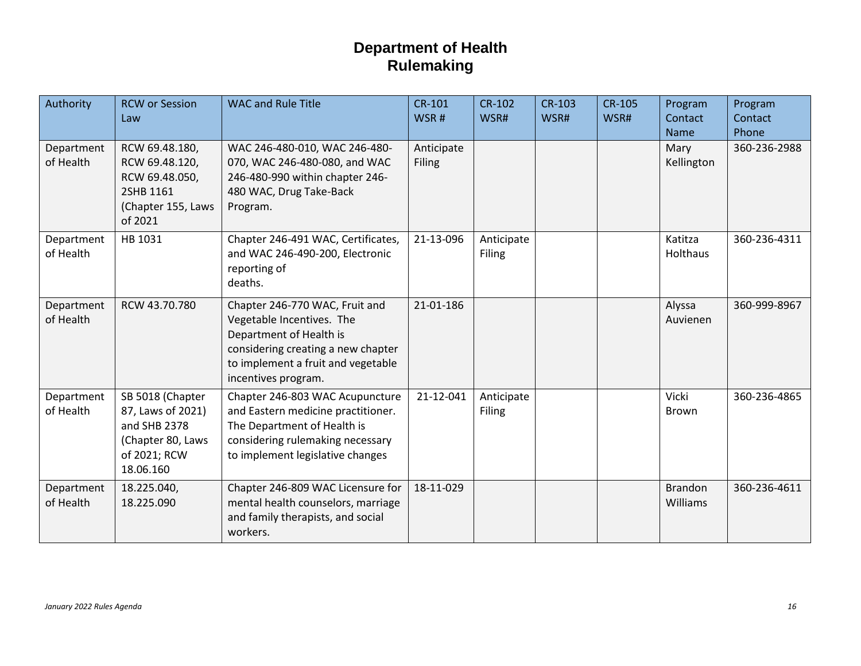| Authority               | <b>RCW or Session</b><br>Law                                                                            | <b>WAC and Rule Title</b>                                                                                                                                                                 | <b>CR-101</b><br>WSR#       | <b>CR-102</b><br>WSR#       | <b>CR-103</b><br>WSR# | <b>CR-105</b><br>WSR# | Program<br>Contact<br>Name        | Program<br>Contact<br>Phone |
|-------------------------|---------------------------------------------------------------------------------------------------------|-------------------------------------------------------------------------------------------------------------------------------------------------------------------------------------------|-----------------------------|-----------------------------|-----------------------|-----------------------|-----------------------------------|-----------------------------|
| Department<br>of Health | RCW 69.48.180,<br>RCW 69.48.120,<br>RCW 69.48.050,<br>2SHB 1161<br>(Chapter 155, Laws<br>of 2021        | WAC 246-480-010, WAC 246-480-<br>070, WAC 246-480-080, and WAC<br>246-480-990 within chapter 246-<br>480 WAC, Drug Take-Back<br>Program.                                                  | Anticipate<br><b>Filing</b> |                             |                       |                       | Mary<br>Kellington                | 360-236-2988                |
| Department<br>of Health | HB 1031                                                                                                 | Chapter 246-491 WAC, Certificates,<br>and WAC 246-490-200, Electronic<br>reporting of<br>deaths.                                                                                          | 21-13-096                   | Anticipate<br>Filing        |                       |                       | Katitza<br>Holthaus               | 360-236-4311                |
| Department<br>of Health | RCW 43.70.780                                                                                           | Chapter 246-770 WAC, Fruit and<br>Vegetable Incentives. The<br>Department of Health is<br>considering creating a new chapter<br>to implement a fruit and vegetable<br>incentives program. | 21-01-186                   |                             |                       |                       | Alyssa<br>Auvienen                | 360-999-8967                |
| Department<br>of Health | SB 5018 (Chapter<br>87, Laws of 2021)<br>and SHB 2378<br>(Chapter 80, Laws<br>of 2021; RCW<br>18.06.160 | Chapter 246-803 WAC Acupuncture<br>and Eastern medicine practitioner.<br>The Department of Health is<br>considering rulemaking necessary<br>to implement legislative changes              | 21-12-041                   | Anticipate<br><b>Filing</b> |                       |                       | Vicki<br>Brown                    | 360-236-4865                |
| Department<br>of Health | 18.225.040,<br>18.225.090                                                                               | Chapter 246-809 WAC Licensure for<br>mental health counselors, marriage<br>and family therapists, and social<br>workers.                                                                  | 18-11-029                   |                             |                       |                       | <b>Brandon</b><br><b>Williams</b> | 360-236-4611                |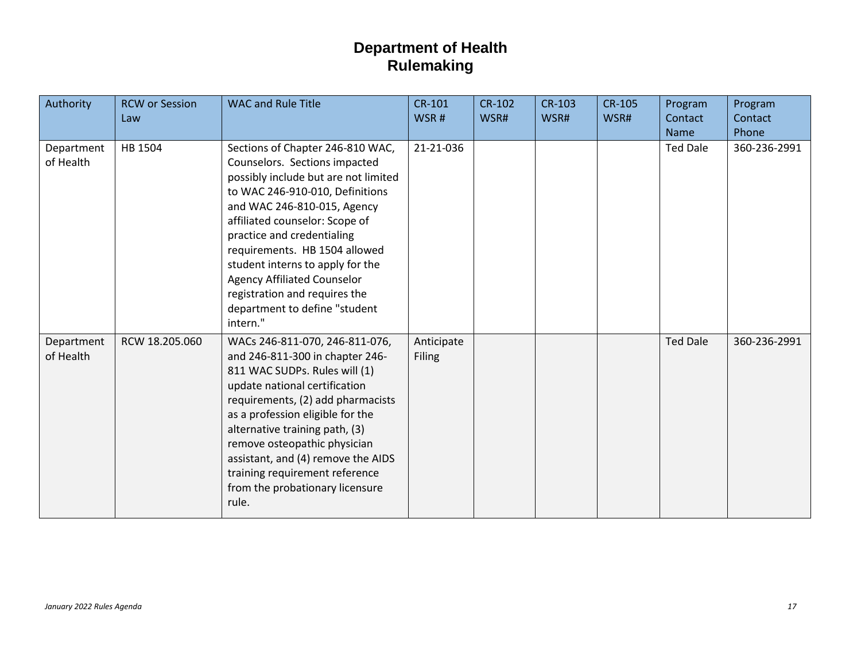| Authority               | <b>RCW or Session</b><br>Law | <b>WAC and Rule Title</b>                                                                                                                                                                                                                                                                                                                                                                                                            | <b>CR-101</b><br>WSR#       | <b>CR-102</b><br>WSR# | <b>CR-103</b><br>WSR# | <b>CR-105</b><br>WSR# | Program<br>Contact<br><b>Name</b> | Program<br>Contact<br>Phone |
|-------------------------|------------------------------|--------------------------------------------------------------------------------------------------------------------------------------------------------------------------------------------------------------------------------------------------------------------------------------------------------------------------------------------------------------------------------------------------------------------------------------|-----------------------------|-----------------------|-----------------------|-----------------------|-----------------------------------|-----------------------------|
| Department<br>of Health | HB 1504                      | Sections of Chapter 246-810 WAC,<br>Counselors. Sections impacted<br>possibly include but are not limited<br>to WAC 246-910-010, Definitions<br>and WAC 246-810-015, Agency<br>affiliated counselor: Scope of<br>practice and credentialing<br>requirements. HB 1504 allowed<br>student interns to apply for the<br><b>Agency Affiliated Counselor</b><br>registration and requires the<br>department to define "student<br>intern." | 21-21-036                   |                       |                       |                       | <b>Ted Dale</b>                   | 360-236-2991                |
| Department<br>of Health | RCW 18.205.060               | WACs 246-811-070, 246-811-076,<br>and 246-811-300 in chapter 246-<br>811 WAC SUDPs. Rules will (1)<br>update national certification<br>requirements, (2) add pharmacists<br>as a profession eligible for the<br>alternative training path, (3)<br>remove osteopathic physician<br>assistant, and (4) remove the AIDS<br>training requirement reference<br>from the probationary licensure<br>rule.                                   | Anticipate<br><b>Filing</b> |                       |                       |                       | <b>Ted Dale</b>                   | 360-236-2991                |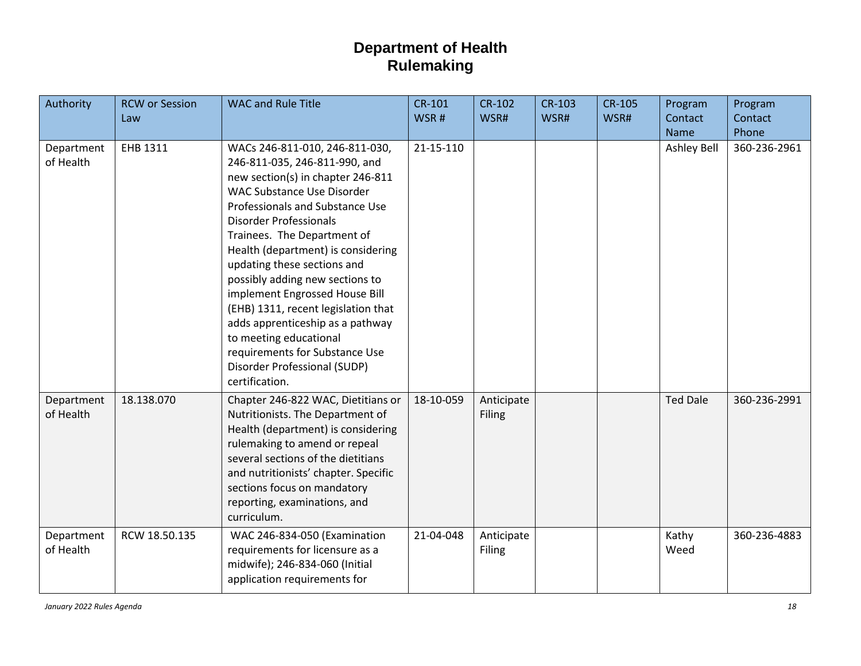| Authority               | <b>RCW or Session</b><br>Law | <b>WAC and Rule Title</b>                                                                                                                                                                                                                                                                                                                                                                                                                                                                                                                                                       | $CR-101$<br>WSR# | <b>CR-102</b><br>WSR#       | <b>CR-103</b><br>WSR# | <b>CR-105</b><br>WSR# | Program<br>Contact<br>Name | Program<br>Contact<br>Phone |
|-------------------------|------------------------------|---------------------------------------------------------------------------------------------------------------------------------------------------------------------------------------------------------------------------------------------------------------------------------------------------------------------------------------------------------------------------------------------------------------------------------------------------------------------------------------------------------------------------------------------------------------------------------|------------------|-----------------------------|-----------------------|-----------------------|----------------------------|-----------------------------|
| Department<br>of Health | EHB 1311                     | WACs 246-811-010, 246-811-030,<br>246-811-035, 246-811-990, and<br>new section(s) in chapter 246-811<br><b>WAC Substance Use Disorder</b><br>Professionals and Substance Use<br><b>Disorder Professionals</b><br>Trainees. The Department of<br>Health (department) is considering<br>updating these sections and<br>possibly adding new sections to<br>implement Engrossed House Bill<br>(EHB) 1311, recent legislation that<br>adds apprenticeship as a pathway<br>to meeting educational<br>requirements for Substance Use<br>Disorder Professional (SUDP)<br>certification. | 21-15-110        |                             |                       |                       | Ashley Bell                | 360-236-2961                |
| Department<br>of Health | 18.138.070                   | Chapter 246-822 WAC, Dietitians or<br>Nutritionists. The Department of<br>Health (department) is considering<br>rulemaking to amend or repeal<br>several sections of the dietitians<br>and nutritionists' chapter. Specific<br>sections focus on mandatory<br>reporting, examinations, and<br>curriculum.                                                                                                                                                                                                                                                                       | 18-10-059        | Anticipate<br><b>Filing</b> |                       |                       | <b>Ted Dale</b>            | 360-236-2991                |
| Department<br>of Health | RCW 18.50.135                | WAC 246-834-050 (Examination<br>requirements for licensure as a<br>midwife); 246-834-060 (Initial<br>application requirements for                                                                                                                                                                                                                                                                                                                                                                                                                                               | 21-04-048        | Anticipate<br>Filing        |                       |                       | Kathy<br>Weed              | 360-236-4883                |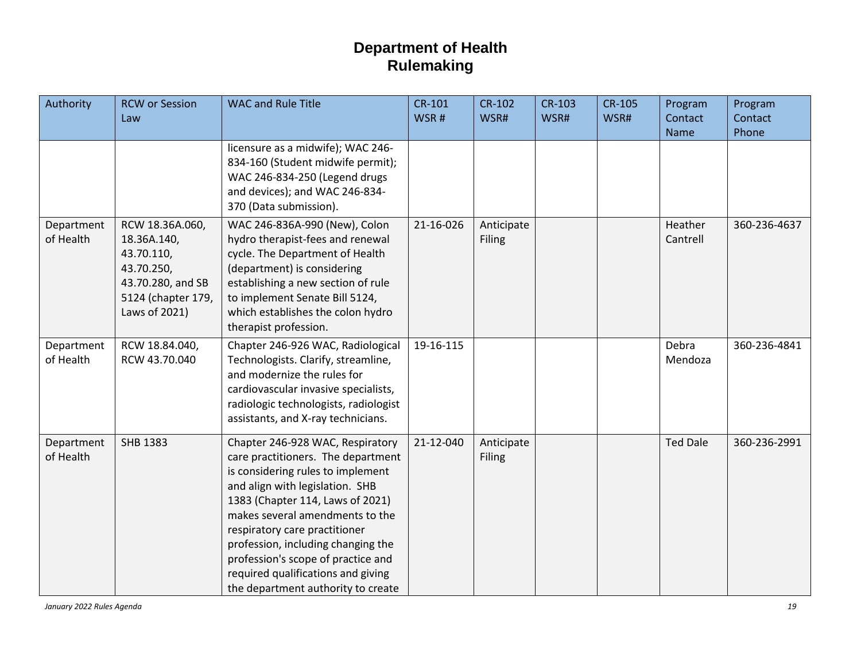| Authority               | <b>RCW or Session</b><br>Law                                                                                           | <b>WAC and Rule Title</b>                                                                                                                                                                                                                                                                                                                                                                                      | CR-101<br>WSR# | <b>CR-102</b><br>WSR#       | <b>CR-103</b><br>WSR# | <b>CR-105</b><br>WSR# | Program<br>Contact<br>Name | Program<br>Contact<br>Phone |
|-------------------------|------------------------------------------------------------------------------------------------------------------------|----------------------------------------------------------------------------------------------------------------------------------------------------------------------------------------------------------------------------------------------------------------------------------------------------------------------------------------------------------------------------------------------------------------|----------------|-----------------------------|-----------------------|-----------------------|----------------------------|-----------------------------|
|                         |                                                                                                                        | licensure as a midwife); WAC 246-<br>834-160 (Student midwife permit);<br>WAC 246-834-250 (Legend drugs<br>and devices); and WAC 246-834-<br>370 (Data submission).                                                                                                                                                                                                                                            |                |                             |                       |                       |                            |                             |
| Department<br>of Health | RCW 18.36A.060,<br>18.36A.140,<br>43.70.110,<br>43.70.250,<br>43.70.280, and SB<br>5124 (chapter 179,<br>Laws of 2021) | WAC 246-836A-990 (New), Colon<br>hydro therapist-fees and renewal<br>cycle. The Department of Health<br>(department) is considering<br>establishing a new section of rule<br>to implement Senate Bill 5124,<br>which establishes the colon hydro<br>therapist profession.                                                                                                                                      | 21-16-026      | Anticipate<br>Filing        |                       |                       | Heather<br>Cantrell        | 360-236-4637                |
| Department<br>of Health | RCW 18.84.040,<br>RCW 43.70.040                                                                                        | Chapter 246-926 WAC, Radiological<br>Technologists. Clarify, streamline,<br>and modernize the rules for<br>cardiovascular invasive specialists,<br>radiologic technologists, radiologist<br>assistants, and X-ray technicians.                                                                                                                                                                                 | 19-16-115      |                             |                       |                       | Debra<br>Mendoza           | 360-236-4841                |
| Department<br>of Health | <b>SHB 1383</b>                                                                                                        | Chapter 246-928 WAC, Respiratory<br>care practitioners. The department<br>is considering rules to implement<br>and align with legislation. SHB<br>1383 (Chapter 114, Laws of 2021)<br>makes several amendments to the<br>respiratory care practitioner<br>profession, including changing the<br>profession's scope of practice and<br>required qualifications and giving<br>the department authority to create | 21-12-040      | Anticipate<br><b>Filing</b> |                       |                       | <b>Ted Dale</b>            | 360-236-2991                |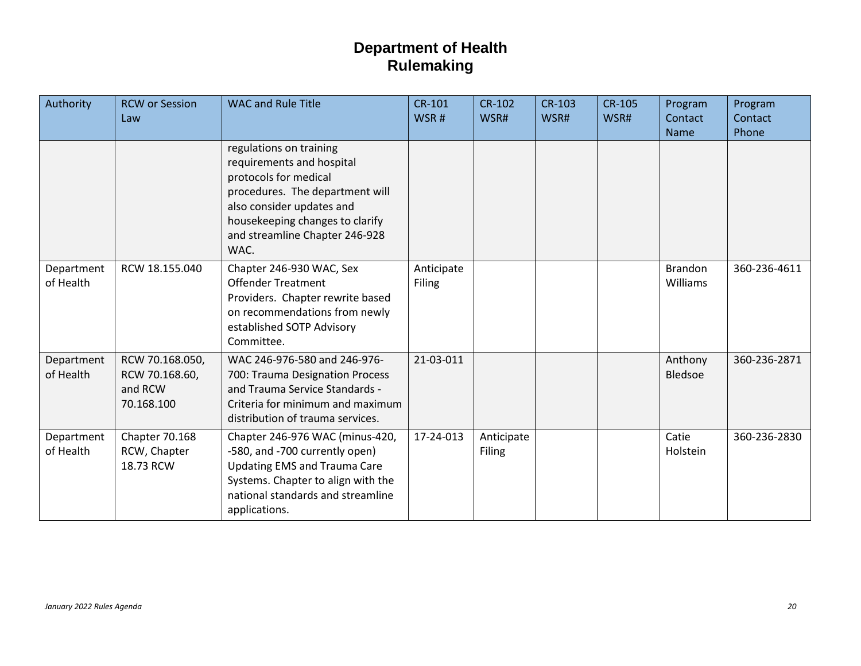| Authority               | <b>RCW or Session</b><br>Law                               | <b>WAC and Rule Title</b>                                                                                                                                                                                                  | <b>CR-101</b><br>WSR#       | <b>CR-102</b><br>WSR#       | <b>CR-103</b><br>WSR# | <b>CR-105</b><br>WSR# | Program<br>Contact<br>Name | Program<br>Contact<br>Phone |
|-------------------------|------------------------------------------------------------|----------------------------------------------------------------------------------------------------------------------------------------------------------------------------------------------------------------------------|-----------------------------|-----------------------------|-----------------------|-----------------------|----------------------------|-----------------------------|
|                         |                                                            | regulations on training<br>requirements and hospital<br>protocols for medical<br>procedures. The department will<br>also consider updates and<br>housekeeping changes to clarify<br>and streamline Chapter 246-928<br>WAC. |                             |                             |                       |                       |                            |                             |
| Department<br>of Health | RCW 18.155.040                                             | Chapter 246-930 WAC, Sex<br><b>Offender Treatment</b><br>Providers. Chapter rewrite based<br>on recommendations from newly<br>established SOTP Advisory<br>Committee.                                                      | Anticipate<br><b>Filing</b> |                             |                       |                       | <b>Brandon</b><br>Williams | 360-236-4611                |
| Department<br>of Health | RCW 70.168.050,<br>RCW 70.168.60,<br>and RCW<br>70.168.100 | WAC 246-976-580 and 246-976-<br>700: Trauma Designation Process<br>and Trauma Service Standards -<br>Criteria for minimum and maximum<br>distribution of trauma services.                                                  | 21-03-011                   |                             |                       |                       | Anthony<br>Bledsoe         | 360-236-2871                |
| Department<br>of Health | Chapter 70.168<br>RCW, Chapter<br>18.73 RCW                | Chapter 246-976 WAC (minus-420,<br>-580, and -700 currently open)<br><b>Updating EMS and Trauma Care</b><br>Systems. Chapter to align with the<br>national standards and streamline<br>applications.                       | 17-24-013                   | Anticipate<br><b>Filing</b> |                       |                       | Catie<br>Holstein          | 360-236-2830                |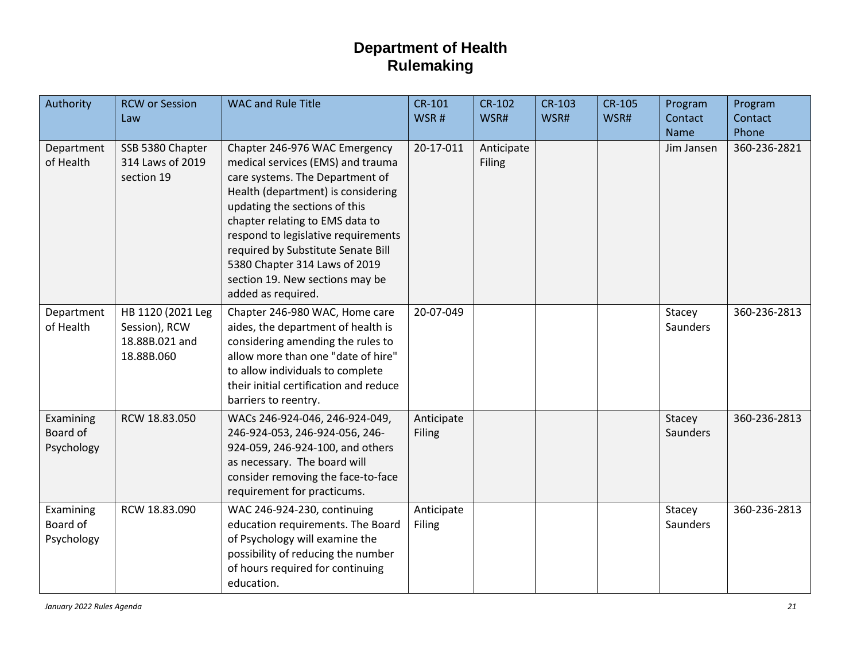| Authority                           | <b>RCW or Session</b><br>Law                                       | <b>WAC and Rule Title</b>                                                                                                                                                                                                                                                                                                                                                              | <b>CR-101</b><br>WSR# | <b>CR-102</b><br>WSR# | CR-103<br>WSR# | <b>CR-105</b><br>WSR# | Program<br>Contact        | Program<br>Contact    |
|-------------------------------------|--------------------------------------------------------------------|----------------------------------------------------------------------------------------------------------------------------------------------------------------------------------------------------------------------------------------------------------------------------------------------------------------------------------------------------------------------------------------|-----------------------|-----------------------|----------------|-----------------------|---------------------------|-----------------------|
| Department<br>of Health             | SSB 5380 Chapter<br>314 Laws of 2019<br>section 19                 | Chapter 246-976 WAC Emergency<br>medical services (EMS) and trauma<br>care systems. The Department of<br>Health (department) is considering<br>updating the sections of this<br>chapter relating to EMS data to<br>respond to legislative requirements<br>required by Substitute Senate Bill<br>5380 Chapter 314 Laws of 2019<br>section 19. New sections may be<br>added as required. | 20-17-011             | Anticipate<br>Filing  |                |                       | <b>Name</b><br>Jim Jansen | Phone<br>360-236-2821 |
| Department<br>of Health             | HB 1120 (2021 Leg<br>Session), RCW<br>18.88B.021 and<br>18.88B.060 | Chapter 246-980 WAC, Home care<br>aides, the department of health is<br>considering amending the rules to<br>allow more than one "date of hire"<br>to allow individuals to complete<br>their initial certification and reduce<br>barriers to reentry.                                                                                                                                  | 20-07-049             |                       |                |                       | Stacey<br>Saunders        | 360-236-2813          |
| Examining<br>Board of<br>Psychology | RCW 18.83.050                                                      | WACs 246-924-046, 246-924-049,<br>246-924-053, 246-924-056, 246-<br>924-059, 246-924-100, and others<br>as necessary. The board will<br>consider removing the face-to-face<br>requirement for practicums.                                                                                                                                                                              | Anticipate<br>Filing  |                       |                |                       | Stacey<br>Saunders        | 360-236-2813          |
| Examining<br>Board of<br>Psychology | RCW 18.83.090                                                      | WAC 246-924-230, continuing<br>education requirements. The Board<br>of Psychology will examine the<br>possibility of reducing the number<br>of hours required for continuing<br>education.                                                                                                                                                                                             | Anticipate<br>Filing  |                       |                |                       | Stacey<br>Saunders        | 360-236-2813          |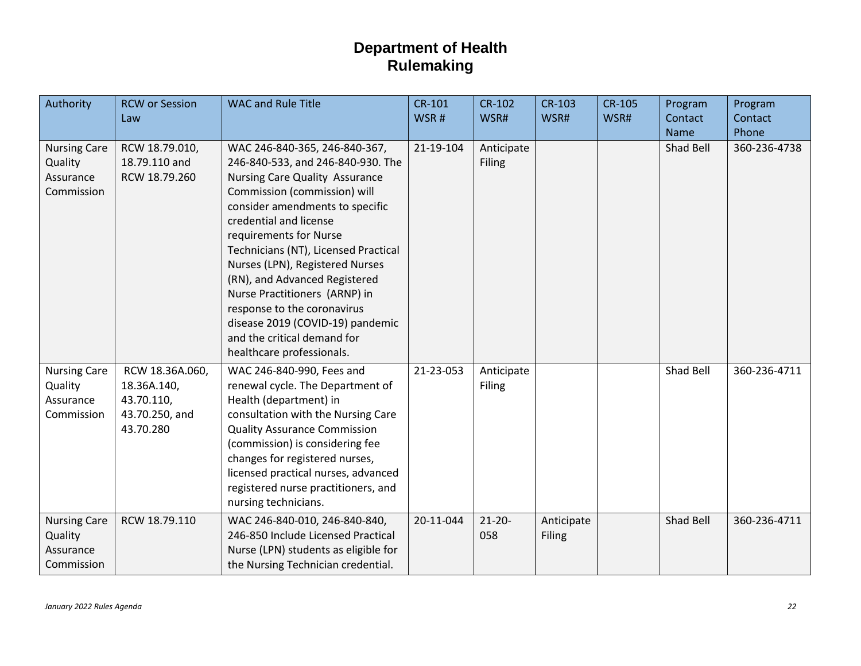| Authority                                                 | <b>RCW or Session</b><br>Law                                                | <b>WAC and Rule Title</b>                                                                                                                                                                                                                                                                                                                                                                                                                                                                               | CR-101<br>WSR# | CR-102<br>WSR#       | <b>CR-103</b><br>WSR#       | <b>CR-105</b><br>WSR# | Program<br>Contact<br>Name | Program<br>Contact<br>Phone |
|-----------------------------------------------------------|-----------------------------------------------------------------------------|---------------------------------------------------------------------------------------------------------------------------------------------------------------------------------------------------------------------------------------------------------------------------------------------------------------------------------------------------------------------------------------------------------------------------------------------------------------------------------------------------------|----------------|----------------------|-----------------------------|-----------------------|----------------------------|-----------------------------|
| <b>Nursing Care</b><br>Quality<br>Assurance<br>Commission | RCW 18.79.010,<br>18.79.110 and<br>RCW 18.79.260                            | WAC 246-840-365, 246-840-367,<br>246-840-533, and 246-840-930. The<br>Nursing Care Quality Assurance<br>Commission (commission) will<br>consider amendments to specific<br>credential and license<br>requirements for Nurse<br>Technicians (NT), Licensed Practical<br>Nurses (LPN), Registered Nurses<br>(RN), and Advanced Registered<br>Nurse Practitioners (ARNP) in<br>response to the coronavirus<br>disease 2019 (COVID-19) pandemic<br>and the critical demand for<br>healthcare professionals. | 21-19-104      | Anticipate<br>Filing |                             |                       | Shad Bell                  | 360-236-4738                |
| <b>Nursing Care</b><br>Quality<br>Assurance<br>Commission | RCW 18.36A.060,<br>18.36A.140,<br>43.70.110,<br>43.70.250, and<br>43.70.280 | WAC 246-840-990, Fees and<br>renewal cycle. The Department of<br>Health (department) in<br>consultation with the Nursing Care<br><b>Quality Assurance Commission</b><br>(commission) is considering fee<br>changes for registered nurses,<br>licensed practical nurses, advanced<br>registered nurse practitioners, and<br>nursing technicians.                                                                                                                                                         | 21-23-053      | Anticipate<br>Filing |                             |                       | Shad Bell                  | 360-236-4711                |
| <b>Nursing Care</b><br>Quality<br>Assurance<br>Commission | RCW 18.79.110                                                               | WAC 246-840-010, 246-840-840,<br>246-850 Include Licensed Practical<br>Nurse (LPN) students as eligible for<br>the Nursing Technician credential.                                                                                                                                                                                                                                                                                                                                                       | 20-11-044      | $21-20-$<br>058      | Anticipate<br><b>Filing</b> |                       | Shad Bell                  | 360-236-4711                |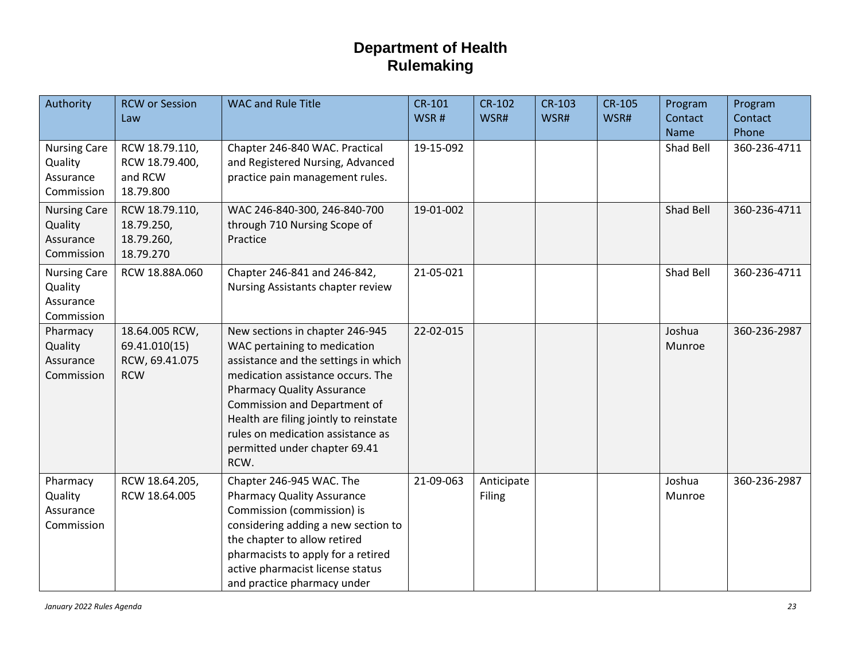| Authority                                                 | <b>RCW or Session</b><br>Law                                    | <b>WAC and Rule Title</b>                                                                                                                                                                                                                                                                                                                 | <b>CR-101</b><br>WSR# | <b>CR-102</b><br>WSR# | CR-103<br>WSR# | <b>CR-105</b><br>WSR# | Program<br>Contact<br><b>Name</b> | Program<br>Contact<br>Phone |
|-----------------------------------------------------------|-----------------------------------------------------------------|-------------------------------------------------------------------------------------------------------------------------------------------------------------------------------------------------------------------------------------------------------------------------------------------------------------------------------------------|-----------------------|-----------------------|----------------|-----------------------|-----------------------------------|-----------------------------|
| <b>Nursing Care</b><br>Quality<br>Assurance<br>Commission | RCW 18.79.110,<br>RCW 18.79.400,<br>and RCW<br>18.79.800        | Chapter 246-840 WAC. Practical<br>and Registered Nursing, Advanced<br>practice pain management rules.                                                                                                                                                                                                                                     | 19-15-092             |                       |                |                       | Shad Bell                         | 360-236-4711                |
| <b>Nursing Care</b><br>Quality<br>Assurance<br>Commission | RCW 18.79.110,<br>18.79.250,<br>18.79.260,<br>18.79.270         | WAC 246-840-300, 246-840-700<br>through 710 Nursing Scope of<br>Practice                                                                                                                                                                                                                                                                  | 19-01-002             |                       |                |                       | Shad Bell                         | 360-236-4711                |
| <b>Nursing Care</b><br>Quality<br>Assurance<br>Commission | RCW 18.88A.060                                                  | Chapter 246-841 and 246-842,<br>Nursing Assistants chapter review                                                                                                                                                                                                                                                                         | 21-05-021             |                       |                |                       | Shad Bell                         | 360-236-4711                |
| Pharmacy<br>Quality<br>Assurance<br>Commission            | 18.64.005 RCW,<br>69.41.010(15)<br>RCW, 69.41.075<br><b>RCW</b> | New sections in chapter 246-945<br>WAC pertaining to medication<br>assistance and the settings in which<br>medication assistance occurs. The<br><b>Pharmacy Quality Assurance</b><br>Commission and Department of<br>Health are filing jointly to reinstate<br>rules on medication assistance as<br>permitted under chapter 69.41<br>RCW. | 22-02-015             |                       |                |                       | Joshua<br>Munroe                  | 360-236-2987                |
| Pharmacy<br>Quality<br>Assurance<br>Commission            | RCW 18.64.205,<br>RCW 18.64.005                                 | Chapter 246-945 WAC. The<br><b>Pharmacy Quality Assurance</b><br>Commission (commission) is<br>considering adding a new section to<br>the chapter to allow retired<br>pharmacists to apply for a retired<br>active pharmacist license status<br>and practice pharmacy under                                                               | 21-09-063             | Anticipate<br>Filing  |                |                       | Joshua<br>Munroe                  | 360-236-2987                |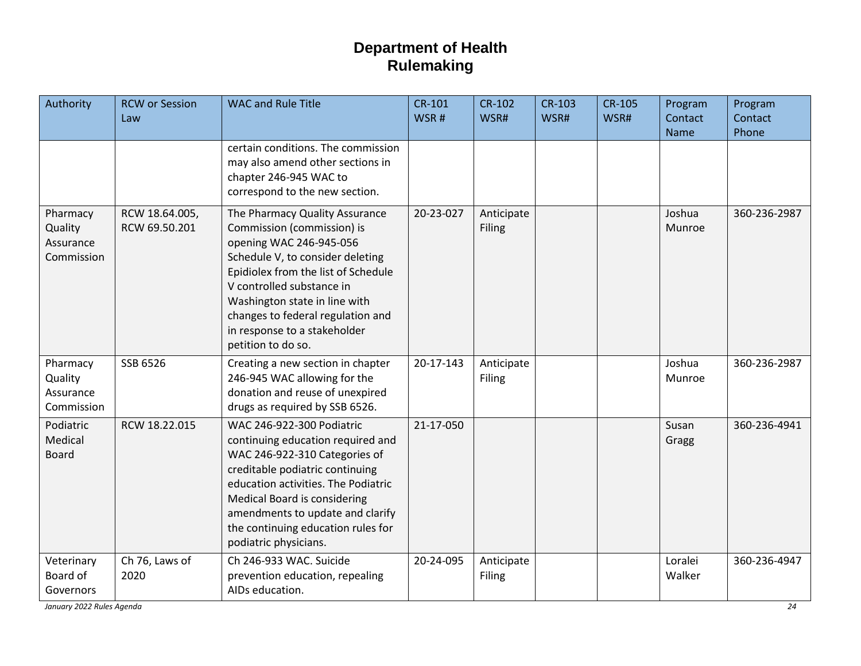| Authority                                      | <b>RCW</b> or Session<br>Law    | <b>WAC and Rule Title</b>                                                                                                                                                                                                                                                                                                   | CR-101<br>WSR# | <b>CR-102</b><br>WSR#       | <b>CR-103</b><br>WSR# | <b>CR-105</b><br>WSR# | Program<br>Contact<br><b>Name</b> | Program<br>Contact<br>Phone |
|------------------------------------------------|---------------------------------|-----------------------------------------------------------------------------------------------------------------------------------------------------------------------------------------------------------------------------------------------------------------------------------------------------------------------------|----------------|-----------------------------|-----------------------|-----------------------|-----------------------------------|-----------------------------|
|                                                |                                 | certain conditions. The commission<br>may also amend other sections in<br>chapter 246-945 WAC to<br>correspond to the new section.                                                                                                                                                                                          |                |                             |                       |                       |                                   |                             |
| Pharmacy<br>Quality<br>Assurance<br>Commission | RCW 18.64.005,<br>RCW 69.50.201 | The Pharmacy Quality Assurance<br>Commission (commission) is<br>opening WAC 246-945-056<br>Schedule V, to consider deleting<br>Epidiolex from the list of Schedule<br>V controlled substance in<br>Washington state in line with<br>changes to federal regulation and<br>in response to a stakeholder<br>petition to do so. | 20-23-027      | Anticipate<br><b>Filing</b> |                       |                       | Joshua<br>Munroe                  | 360-236-2987                |
| Pharmacy<br>Quality<br>Assurance<br>Commission | SSB 6526                        | Creating a new section in chapter<br>246-945 WAC allowing for the<br>donation and reuse of unexpired<br>drugs as required by SSB 6526.                                                                                                                                                                                      | 20-17-143      | Anticipate<br>Filing        |                       |                       | Joshua<br>Munroe                  | 360-236-2987                |
| Podiatric<br>Medical<br><b>Board</b>           | RCW 18.22.015                   | WAC 246-922-300 Podiatric<br>continuing education required and<br>WAC 246-922-310 Categories of<br>creditable podiatric continuing<br>education activities. The Podiatric<br>Medical Board is considering<br>amendments to update and clarify<br>the continuing education rules for<br>podiatric physicians.                | 21-17-050      |                             |                       |                       | Susan<br>Gragg                    | 360-236-4941                |
| Veterinary<br>Board of<br>Governors            | Ch 76, Laws of<br>2020          | Ch 246-933 WAC. Suicide<br>prevention education, repealing<br>AIDs education.                                                                                                                                                                                                                                               | 20-24-095      | Anticipate<br>Filing        |                       |                       | Loralei<br>Walker                 | 360-236-4947                |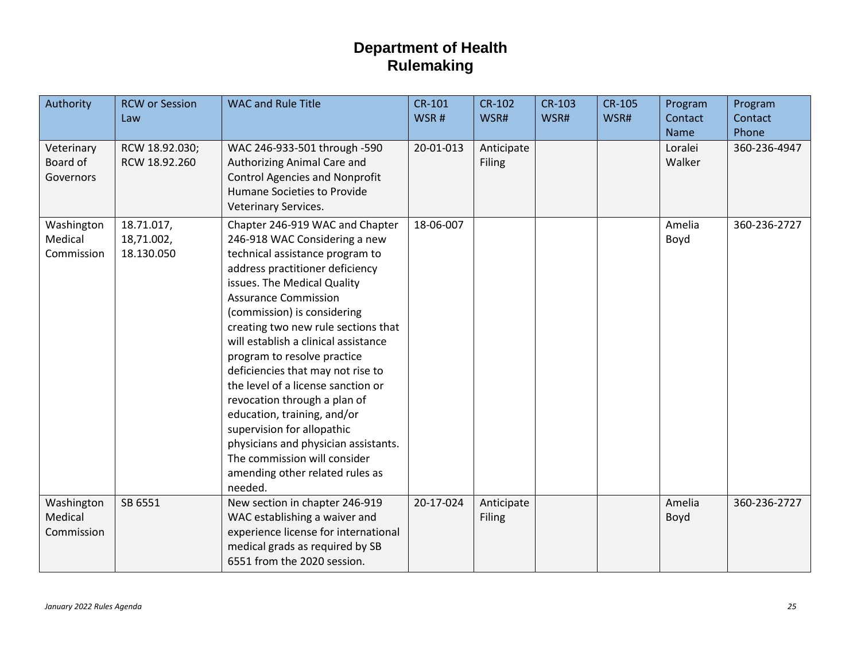| Authority                           | <b>RCW or Session</b><br>Law           | <b>WAC and Rule Title</b>                                                                                                                                                                                                                                                                                                                                                                                                                                                                                                                                                                                                                       | <b>CR-101</b><br>WSR# | <b>CR-102</b><br>WSR#       | <b>CR-103</b><br>WSR# | <b>CR-105</b><br>WSR# | Program<br>Contact<br>Name | Program<br>Contact<br>Phone |
|-------------------------------------|----------------------------------------|-------------------------------------------------------------------------------------------------------------------------------------------------------------------------------------------------------------------------------------------------------------------------------------------------------------------------------------------------------------------------------------------------------------------------------------------------------------------------------------------------------------------------------------------------------------------------------------------------------------------------------------------------|-----------------------|-----------------------------|-----------------------|-----------------------|----------------------------|-----------------------------|
| Veterinary<br>Board of<br>Governors | RCW 18.92.030;<br>RCW 18.92.260        | WAC 246-933-501 through -590<br>Authorizing Animal Care and<br><b>Control Agencies and Nonprofit</b><br>Humane Societies to Provide<br>Veterinary Services.                                                                                                                                                                                                                                                                                                                                                                                                                                                                                     | 20-01-013             | Anticipate<br><b>Filing</b> |                       |                       | Loralei<br>Walker          | 360-236-4947                |
| Washington<br>Medical<br>Commission | 18.71.017,<br>18,71.002,<br>18.130.050 | Chapter 246-919 WAC and Chapter<br>246-918 WAC Considering a new<br>technical assistance program to<br>address practitioner deficiency<br>issues. The Medical Quality<br><b>Assurance Commission</b><br>(commission) is considering<br>creating two new rule sections that<br>will establish a clinical assistance<br>program to resolve practice<br>deficiencies that may not rise to<br>the level of a license sanction or<br>revocation through a plan of<br>education, training, and/or<br>supervision for allopathic<br>physicians and physician assistants.<br>The commission will consider<br>amending other related rules as<br>needed. | 18-06-007             |                             |                       |                       | Amelia<br>Boyd             | 360-236-2727                |
| Washington<br>Medical<br>Commission | SB 6551                                | New section in chapter 246-919<br>WAC establishing a waiver and<br>experience license for international<br>medical grads as required by SB<br>6551 from the 2020 session.                                                                                                                                                                                                                                                                                                                                                                                                                                                                       | 20-17-024             | Anticipate<br><b>Filing</b> |                       |                       | Amelia<br>Boyd             | 360-236-2727                |